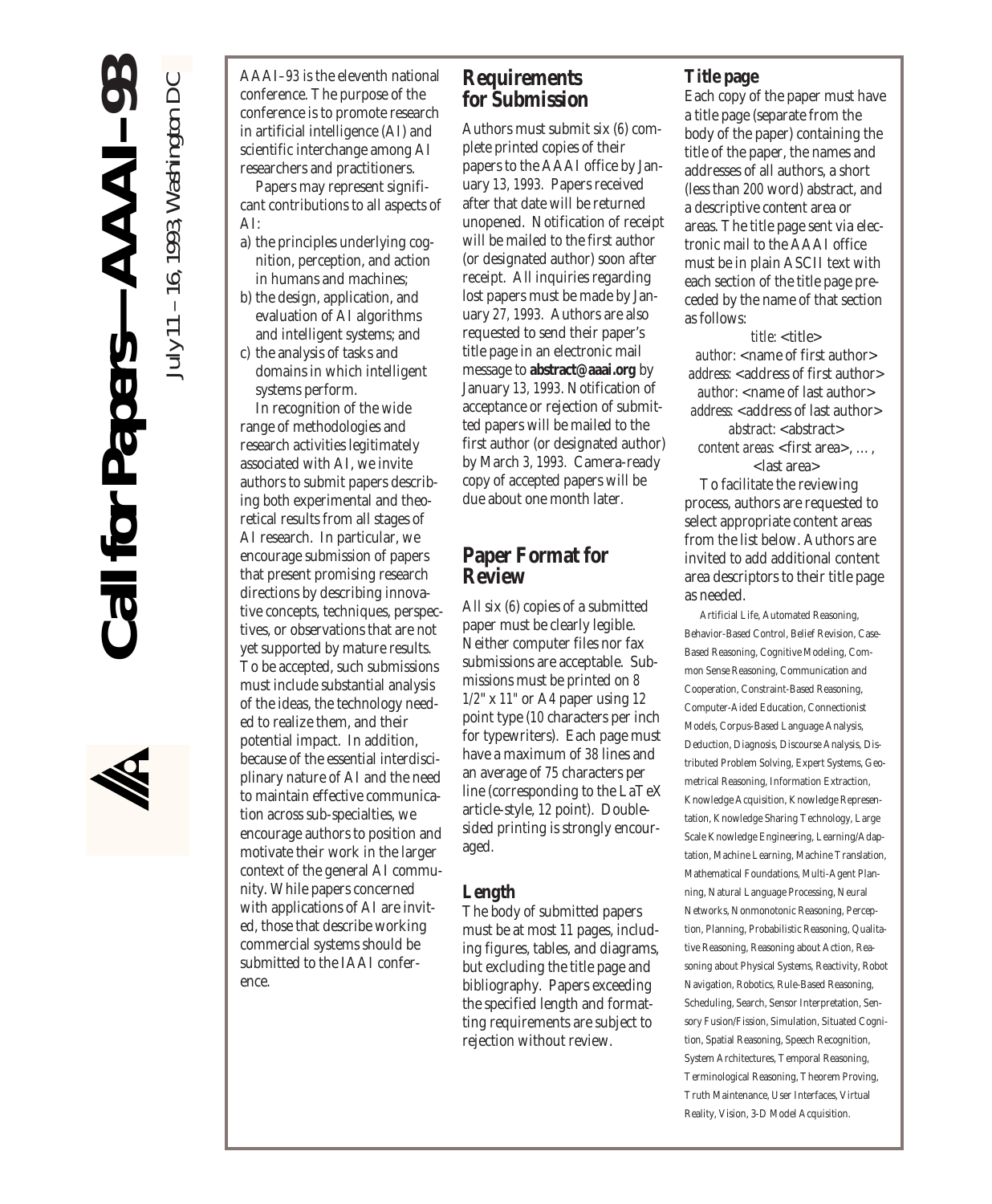*July* 11 – 16, 1993*, Washington DC*



AAAI–93 is the eleventh national conference. The purpose of the conference is to promote research in artificial intelligence (AI) and scientific interchange among AI researchers and practitioners.

Papers may represent significant contributions to all aspects of AI:

- a) the principles underlying cognition, perception, and action in humans and machines;
- b) the design, application, and evaluation of AI algorithms and intelligent systems; and
- c) the analysis of tasks and domains in which intelligent systems perform.

In recognition of the wide range of methodologies and research activities legitimately associated with AI, we invite authors to submit papers describing both experimental and theoretical results from all stages of AI research. In particular, we encourage submission of papers that present promising research directions by describing innovative concepts, techniques, perspectives, or observations that are not yet supported by mature results. To be accepted, such submissions must include substantial analysis of the ideas, the technology needed to realize them, and their potential impact. In addition, because of the essential interdisciplinary nature of AI and the need to maintain effective communication across sub-specialties, we encourage authors to position and motivate their work in the larger context of the general AI community. While papers concerned with applications of AI are invited, those that describe working commercial systems should be submitted to the IAAI conference.

### **Requirements for Submission**

Authors must submit six (6) complete printed copies of their papers to the AAAI office by January 13, 1993. Papers received after that date will be returned unopened. Notification of receipt will be mailed to the first author (or designated author) soon after receipt. All inquiries regarding lost papers must be made by January 27, 1993. Authors are also requested to send their paper's title page in an electronic mail message to **abstract@aaai.org** by January 13, 1993. Notification of acceptance or rejection of submitted papers will be mailed to the first author (or designated author) by March 3, 1993. Camera-ready copy of accepted papers will be due about one month later.

### **Paper Format for Review**

All six (6) copies of a submitted paper must be clearly legible. Neither computer files nor fax submissions are acceptable. Submissions must be printed on 8 1/2" x 11" or A4 paper using 12 point type (10 characters per inch for typewriters). Each page must have a maximum of 38 lines and an average of 75 characters per line (corresponding to the LaTeX article-style, 12 point). Doublesided printing is strongly encouraged.

#### **Length**

The body of submitted papers must be at most 11 pages, including figures, tables, and diagrams, but excluding the title page and bibliography. Papers exceeding the specified length and formatting requirements are subject to rejection without review.

#### **Title page**

Each copy of the paper must have a title page (separate from the body of the paper) containing the title of the paper, the names and addresses of all authors, a short (less than 200 word) abstract, and a descriptive content area or areas. The title page sent via electronic mail to the AAAI office must be in plain ASCII text with each section of the title page preceded by the name of that section as follows:

title: <title> *author:* <name of first author> address: <address of first author> author: <name of last author> address: <address of last author>

*abstract:* <abstract> *content areas:* <first area>, …, <last area>

To facilitate the reviewing process, authors are requested to select appropriate content areas from the list below. Authors are invited to add additional content area descriptors to their title page as needed.

Artificial Life, Automated Reasoning, Behavior-Based Control, Belief Revision, Case-Based Reasoning, Cognitive Modeling, Common Sense Reasoning, Communication and Cooperation, Constraint-Based Reasoning, Computer-Aided Education, Connectionist Models, Corpus-Based Language Analysis, Deduction, Diagnosis, Discourse Analysis, Distributed Problem Solving, Expert Systems, Geometrical Reasoning, Information Extraction, Knowledge Acquisition, Knowledge Representation, Knowledge Sharing Technology, Large Scale Knowledge Engineering, Learning/Adaptation, Machine Learning, Machine Translation, Mathematical Foundations, Multi-Agent Planning, Natural Language Processing, Neural Networks, Nonmonotonic Reasoning, Perception, Planning, Probabilistic Reasoning, Qualitative Reasoning, Reasoning about Action, Reasoning about Physical Systems, Reactivity, Robot Navigation, Robotics, Rule-Based Reasoning, Scheduling, Search, Sensor Interpretation, Sensory Fusion/Fission, Simulation, Situated Cognition, Spatial Reasoning, Speech Recognition, System Architectures, Temporal Reasoning, Terminological Reasoning, Theorem Proving, Truth Maintenance, User Interfaces, Virtual Reality, Vision, 3-D Model Acquisition.